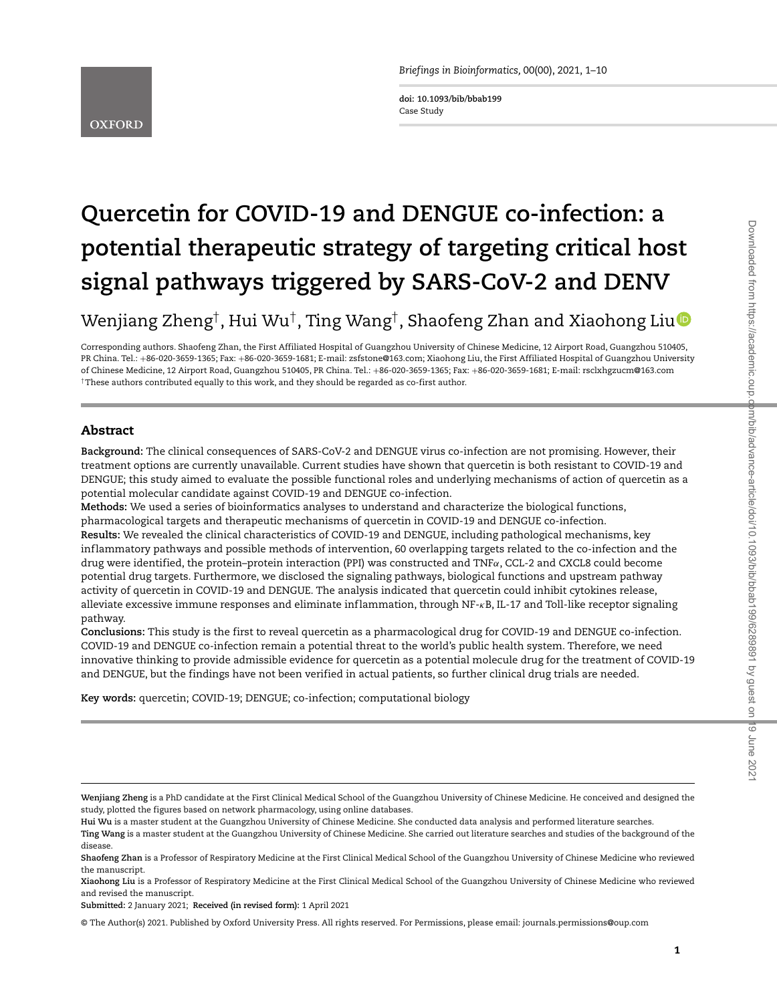**doi: 10.1093/bib/bbab199** Case Study

# **Quercetin for COVID-19 and DENGUE co-infection: a potential therapeutic strategy of targeting critical host signal pathways triggered by SARS-CoV-2 and DENV**

## Wenjiang Zheng†, Hui Wu†, Ting Wang†, Shaofeng Zhan and Xiaohong Liu

Corresponding authors. Shaofeng Zhan, the First Affiliated Hospital of Guangzhou University of Chinese Medicine, 12 Airport Road, Guangzhou 510405, PR China. Tel.: +86-020-3659-1365; Fax: +86-020-3659-1681; E-mail: zsfstone@163.com; Xiaohong Liu, the First Affiliated Hospital of Guangzhou University of Chinese Medicine, 12 Airport Road, Guangzhou 510405, PR China. Tel.: +86-020-3659-1365; Fax: +86-020-3659-1681; E-mail: rsclxhgzucm@163.com †These authors contributed equally to this work, and they should be regarded as co-first author.

#### **Abstract**

**Background:** The clinical consequences of SARS-CoV-2 and DENGUE virus co-infection are not promising. However, their treatment options are currently unavailable. Current studies have shown that quercetin is both resistant to COVID-19 and DENGUE; this study aimed to evaluate the possible functional roles and underlying mechanisms of action of quercetin as a potential molecular candidate against COVID-19 and DENGUE co-infection.

**Methods:** We used a series of bioinformatics analyses to understand and characterize the biological functions, pharmacological targets and therapeutic mechanisms of quercetin in COVID-19 and DENGUE co-infection.

**Results:** We revealed the clinical characteristics of COVID-19 and DENGUE, including pathological mechanisms, key inf lammatory pathways and possible methods of intervention, 60 overlapping targets related to the co-infection and the drug were identified, the protein–protein interaction (PPI) was constructed and TNF*α*, CCL-2 and CXCL8 could become potential drug targets. Furthermore, we disclosed the signaling pathways, biological functions and upstream pathway activity of quercetin in COVID-19 and DENGUE. The analysis indicated that quercetin could inhibit cytokines release, alleviate excessive immune responses and eliminate inf lammation, through NF-*κ*B, IL-17 and Toll-like receptor signaling pathway.

**Conclusions:** This study is the first to reveal quercetin as a pharmacological drug for COVID-19 and DENGUE co-infection. COVID-19 and DENGUE co-infection remain a potential threat to the world's public health system. Therefore, we need innovative thinking to provide admissible evidence for quercetin as a potential molecule drug for the treatment of COVID-19 and DENGUE, but the findings have not been verified in actual patients, so further clinical drug trials are needed.

**Key words:** quercetin; COVID-19; DENGUE; co-infection; computational biology

**Submitted:** 2 January 2021; **Received (in revised form):** 1 April 2021

© The Author(s) 2021. Published by Oxford University Press. All rights reserved. For Permissions, please email: journals.permissions@oup.com

**Wenjiang Zheng** is a PhD candidate at the First Clinical Medical School of the Guangzhou University of Chinese Medicine. He conceived and designed the study, plotted the figures based on network pharmacology, using online databases.

**Hui Wu** is a master student at the Guangzhou University of Chinese Medicine. She conducted data analysis and performed literature searches.

**Ting Wang** is a master student at the Guangzhou University of Chinese Medicine. She carried out literature searches and studies of the background of the disease.

**Shaofeng Zhan** is a Professor of Respiratory Medicine at the First Clinical Medical School of the Guangzhou University of Chinese Medicine who reviewed the manuscript.

**Xiaohong Liu** is a Professor of Respiratory Medicine at the First Clinical Medical School of the Guangzhou University of Chinese Medicine who reviewed and revised the manuscript.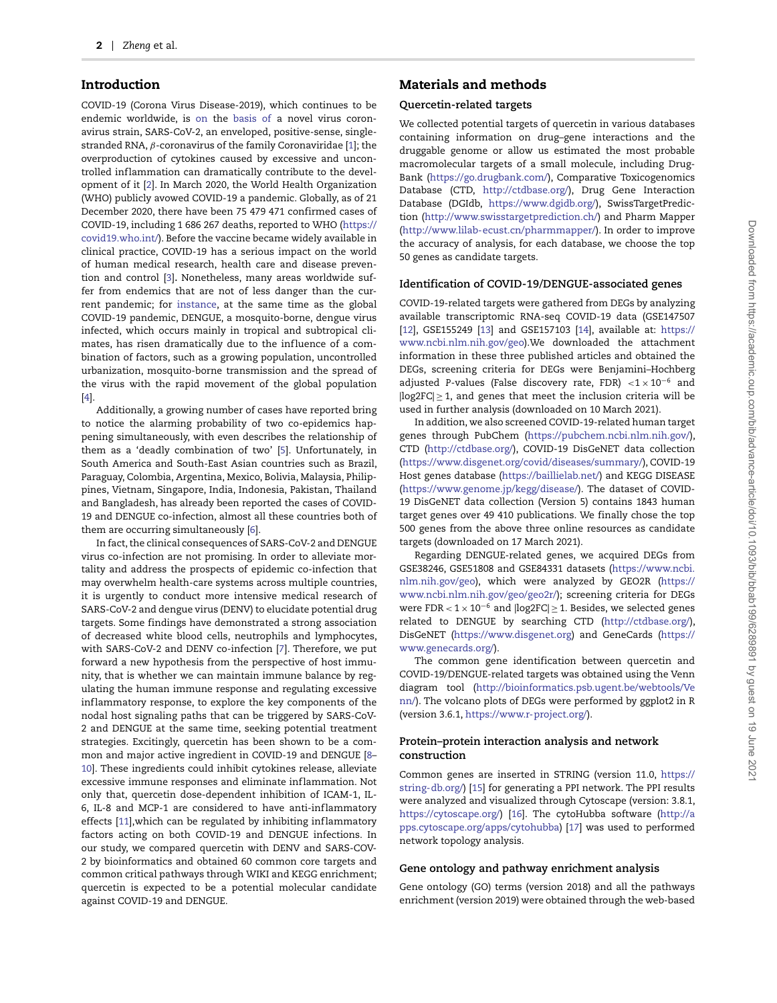#### **Introduction**

COVID-19 (Corona Virus Disease-2019), which continues to be endemic worldwide, is <on> the <basis><of> a novel virus coronavirus strain, SARS-CoV-2, an enveloped, positive-sense, singlestranded RNA, *β*-coronavirus of the family Coronaviridae [\[1\]](#page-7-0); the overproduction of cytokines caused by excessive and uncontrolled inflammation can dramatically contribute to the development of it [\[2\]](#page-7-1). In March 2020, the World Health Organization (WHO) publicly avowed COVID-19 a pandemic. Globally, as of 21 December 2020, there have been 75 479 471 confirmed cases of COVID-19, including 1 686 267 deaths, reported to WHO [\(https://](https://covid19.who.int/) [covid19.who.int/\)](https://covid19.who.int/). Before the vaccine became widely available in clinical practice, COVID-19 has a serious impact on the world of human medical research, health care and disease prevention and control [\[3\]](#page-7-2)**.** Nonetheless, many areas worldwide suffer from endemics that are not of less danger than the current pandemic; for [instance,](instance) at the same time as the global COVID-19 pandemic, DENGUE, a mosquito-borne, dengue virus infected, which occurs mainly in tropical and subtropical climates, has risen dramatically due to the influence of a combination of factors, such as a growing population, uncontrolled urbanization, mosquito-borne transmission and the spread of the virus with the rapid movement of the global population [\[4\]](#page-7-3).

Additionally, a growing number of cases have reported bring to notice the alarming probability of two co-epidemics happening simultaneously, with even describes the relationship of them as a 'deadly combination of two' [\[5\]](#page-8-0). Unfortunately, in South America and South-East Asian countries such as Brazil, Paraguay, Colombia, Argentina, Mexico, Bolivia, Malaysia, Philippines, Vietnam, Singapore, India, Indonesia, Pakistan, Thailand and Bangladesh, has already been reported the cases of COVID-19 and DENGUE co-infection, almost all these countries both of them are occurring simultaneously [\[6\]](#page-8-1).

In fact, the clinical consequences of SARS-CoV-2 and DENGUE virus co-infection are not promising. In order to alleviate mortality and address the prospects of epidemic co-infection that may overwhelm health-care systems across multiple countries, it is urgently to conduct more intensive medical research of SARS-CoV-2 and dengue virus (DENV) to elucidate potential drug targets. Some findings have demonstrated a strong association of decreased white blood cells, neutrophils and lymphocytes, with SARS-CoV-2 and DENV co-infection [\[7\]](#page-8-2). Therefore, we put forward a new hypothesis from the perspective of host immunity, that is whether we can maintain immune balance by regulating the human immune response and regulating excessive inflammatory response, to explore the key components of the nodal host signaling paths that can be triggered by SARS-CoV-2 and DENGUE at the same time, seeking potential treatment strategies. Excitingly, quercetin has been shown to be a common and major active ingredient in COVID-19 and DENGUE [\[8–](#page-8-3) [10\]](#page-8-4). These ingredients could inhibit cytokines release, alleviate excessive immune responses and eliminate inflammation. Not only that, quercetin dose-dependent inhibition of ICAM-1, IL-6, IL-8 and MCP-1 are considered to have anti-inflammatory effects [\[11\]](#page-8-5), which can be regulated by inhibiting inflammatory factors acting on both COVID-19 and DENGUE infections. In our study, we compared quercetin with DENV and SARS-COV-2 by bioinformatics and obtained 60 common core targets and common critical pathways through WIKI and KEGG enrichment; quercetin is expected to be a potential molecular candidate against COVID-19 and DENGUE.

## **Materials and methods**

#### **Quercetin-related targets**

We collected potential targets of quercetin in various databases containing information on drug–gene interactions and the druggable genome or allow us estimated the most probable macromolecular targets of a small molecule, including Drug-Bank [\(https://go.drugbank.com/\)](https://go.drugbank.com/), Comparative Toxicogenomics Database (CTD, [http://ctdbase.org/\)](http://ctdbase.org/), Drug Gene Interaction Database (DGIdb, [https://www.dgidb.org/\)](https://www.dgidb.org/), SwissTargetPrediction [\(http://www.swisstargetprediction.ch/\)](http://www.swisstargetprediction.ch/) and Pharm Mapper [\(http://www.lilab-ecust.cn/pharmmapper/\)](http://www.lilab-ecust.cn/pharmmapper/). In order to improve the accuracy of analysis, for each database, we choose the top 50 genes as candidate targets.

#### **Identification of COVID-19/DENGUE-associated genes**

COVID-19-related targets were gathered from DEGs by analyzing available transcriptomic RNA-seq COVID-19 data (GSE147507 [\[12\]](#page-8-6), GSE155249 [\[13\]](#page-8-7) and GSE157103 [\[14\]](#page-8-8), available at: [https://](https://www.ncbi.nlm.nih.gov/geo) [www.ncbi.nlm.nih.gov/geo\)](https://www.ncbi.nlm.nih.gov/geo).We downloaded the attachment information in these three published articles and obtained the DEGs, screening criteria for DEGs were Benjamini–Hochberg adjusted *P*-values (False discovery rate, FDR) *<*1 × 10−<sup>6</sup> and  $|log2FC| \geq 1$ , and genes that meet the inclusion criteria will be used in further analysis (downloaded on 10 March 2021).

In addition, we also screened COVID-19-related human target genes through PubChem [\(https://pubchem.ncbi.nlm.nih.gov/\)](https://pubchem.ncbi.nlm.nih.gov/), CTD [\(http://ctdbase.org/\)](http://ctdbase.org/), COVID-19 DisGeNET data collection [\(https://www.disgenet.org/covid/diseases/summary/\)](https://www.disgenet.org/covid/diseases/summary/), COVID-19 Host genes database [\(https://baillielab.net/\)](https://baillielab.net/) and KEGG DISEASE [\(https://www.genome.jp/kegg/disease/\)](https://www.genome.jp/kegg/disease/). The dataset of COVID-19 DisGeNET data collection (Version 5) contains 1843 human target genes over 49 410 publications. We finally chose the top 500 genes from the above three online resources as candidate targets (downloaded on 17 March 2021).

Regarding DENGUE-related genes, we acquired DEGs from GSE38246, GSE51808 and GSE84331 datasets [\(https://www.ncbi.](https://www.ncbi.nlm.nih.gov/geo) [nlm.nih.gov/geo\)](https://www.ncbi.nlm.nih.gov/geo), which were analyzed by GEO2R [\(https://](https://www.ncbi.nlm.nih.gov/geo/geo2r/) [www.ncbi.nlm.nih.gov/geo/geo2r/\)](https://www.ncbi.nlm.nih.gov/geo/geo2r/); screening criteria for DEGs were FDR *<* 1 × 10−<sup>6</sup> and |log2FC| ≥ 1. Besides, we selected genes related to DENGUE by searching CTD [\(http://ctdbase.org/\)](http://ctdbase.org/), DisGeNET [\(https://www.disgenet.org\)](https://www.disgenet.org) and GeneCards [\(https://](https://www.genecards.org/) [www.genecards.org/\)](https://www.genecards.org/).

The common gene identification between quercetin and COVID-19/DENGUE-related targets was obtained using the Venn diagram tool [\(http://bioinformatics.psb.ugent.be/webtools/Ve](http://bioinformatics.psb.ugent.be/webtools/Venn/) [nn/\)](http://bioinformatics.psb.ugent.be/webtools/Venn/). The volcano plots of DEGs were performed by ggplot2 in R (version 3.6.1, [https://www.r-project.org/\)](https://www.r-project.org/).

#### **Protein–protein interaction analysis and network construction**

Common genes are inserted in STRING (version 11.0, [https://](https://string-db.org/) [string-db.org/\)](https://string-db.org/) [\[15\]](#page-8-9) for generating a PPI network. The PPI results were analyzed and visualized through Cytoscape (version: 3.8.1, [https://cytoscape.org/\)](https://cytoscape.org/) [\[16\]](#page-8-10). The cytoHubba software [\(http://a](http://apps.cytoscape.org/apps/cytohubba) [pps.cytoscape.org/apps/cytohubba\)](http://apps.cytoscape.org/apps/cytohubba) [\[17\]](#page-8-11) was used to performed network topology analysis.

#### **Gene ontology and pathway enrichment analysis**

Gene ontology (GO) terms (version 2018) and all the pathways enrichment (version 2019) were obtained through the web-based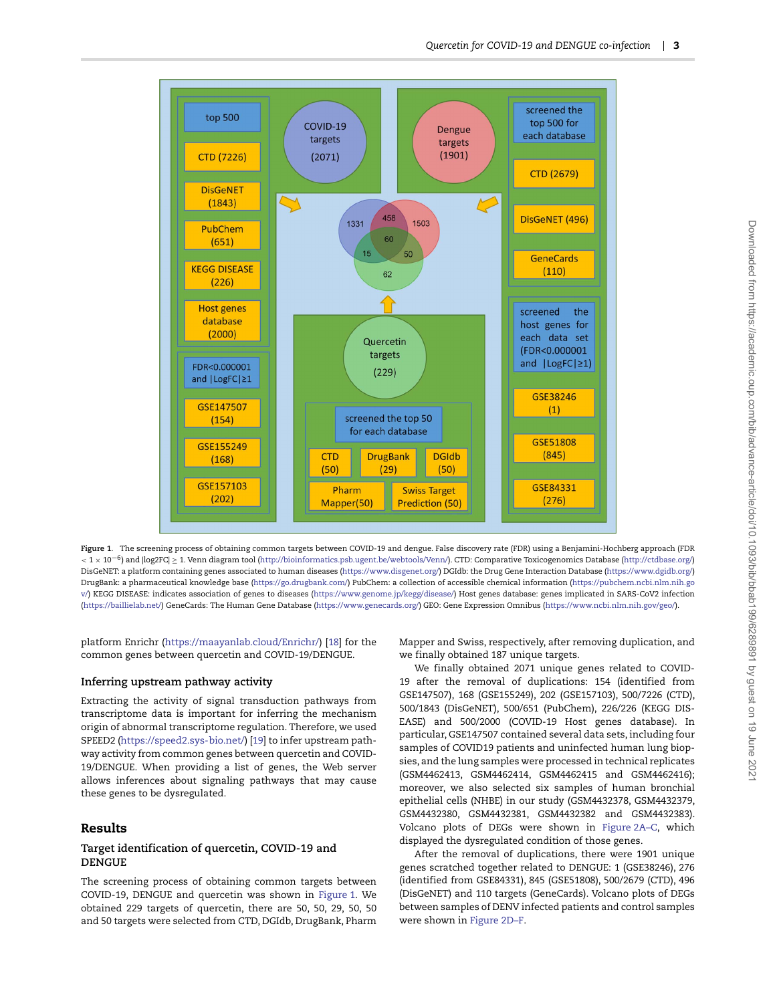

<span id="page-2-0"></span>**Figure 1**. The screening process of obtaining common targets between COVID-19 and dengue. False discovery rate (FDR) using a Benjamini-Hochberg approach (FDR *<sup>&</sup>lt;* <sup>1</sup> <sup>×</sup> <sup>10</sup>−6) and |log2FC| <sup>≥</sup> 1. Venn diagram tool [\(http://bioinformatics.psb.ugent.be/webtools/Venn/\)](http://bioinformatics.psb.ugent.be/webtools/Venn/). CTD: Comparative Toxicogenomics Database [\(http://ctdbase.org/\)](http://ctdbase.org/) DisGeNET: a platform containing genes associated to human diseases [\(https://www.disgenet.org/\)](https://www.disgenet.org/) DGIdb: the Drug Gene Interaction Database [\(https://www.dgidb.org/\)](https://www.dgidb.org/) DrugBank: a pharmaceutical knowledge base [\(https://go.drugbank.com/\)](https://go.drugbank.com/) PubChem: a collection of accessible chemical information [\(https://pubchem.ncbi.nlm.nih.go](https://pubchem.ncbi.nlm.nih.gov/) [v/\)](https://pubchem.ncbi.nlm.nih.gov/) KEGG DISEASE: indicates association of genes to diseases [\(https://www.genome.jp/kegg/disease/\)](https://www.genome.jp/kegg/disease/) Host genes database: genes implicated in SARS-CoV2 infection [\(https://baillielab.net/\)](https://baillielab.net/) GeneCards: The Human Gene Database [\(https://www.genecards.org/\)](https://www.genecards.org/) GEO: Gene Expression Omnibus [\(https://www.ncbi.nlm.nih.gov/geo/\)](https://www.ncbi.nlm.nih.gov/geo/).

platform Enrichr [\(https://maayanlab.cloud/Enrichr/\)](https://maayanlab.cloud/Enrichr/) [\[18\]](#page-8-12) for the common genes between quercetin and COVID-19/DENGUE.

#### **Inferring upstream pathway activity**

Extracting the activity of signal transduction pathways from transcriptome data is important for inferring the mechanism origin of abnormal transcriptome regulation. Therefore, we used SPEED2 [\(https://speed2.sys-bio.net/\)](https://speed2.sys-bio.net/) [\[19\]](#page-8-13) to infer upstream pathway activity from common genes between quercetin and COVID-19/DENGUE. When providing a list of genes, the Web server allows inferences about signaling pathways that may cause these genes to be dysregulated.

#### **Results**

#### **Target identification of quercetin, COVID-19 and DENGUE**

The screening process of obtaining common targets between COVID-19, DENGUE and quercetin was shown in [Figure 1.](#page-2-0) We obtained 229 targets of quercetin, there are 50, 50, 29, 50, 50 and 50 targets were selected from CTD, DGIdb, DrugBank, Pharm Mapper and Swiss, respectively, after removing duplication, and we finally obtained 187 unique targets.

We finally obtained 2071 unique genes related to COVID-19 after the removal of duplications: 154 (identified from GSE147507), 168 (GSE155249), 202 (GSE157103), 500/7226 (CTD), 500/1843 (DisGeNET), 500/651 (PubChem), 226/226 (KEGG DIS-EASE) and 500/2000 (COVID-19 Host genes database). In particular, GSE147507 contained several data sets, including four samples of COVID19 patients and uninfected human lung biopsies, and the lung samples were processed in technical replicates (GSM4462413, GSM4462414, GSM4462415 and GSM4462416); moreover, we also selected six samples of human bronchial epithelial cells (NHBE) in our study (GSM4432378, GSM4432379, GSM4432380, GSM4432381, GSM4432382 and GSM4432383). Volcano plots of DEGs were shown in [Figure 2A–C,](#page-3-0) which displayed the dysregulated condition of those genes.

After the removal of duplications, there were 1901 unique genes scratched together related to DENGUE: 1 (GSE38246), 276 (identified from GSE84331), 845 (GSE51808), 500/2679 (CTD), 496 (DisGeNET) and 110 targets (GeneCards). Volcano plots of DEGs between samples of DENV infected patients and control samples were shown in [Figure 2D–F.](#page-3-0)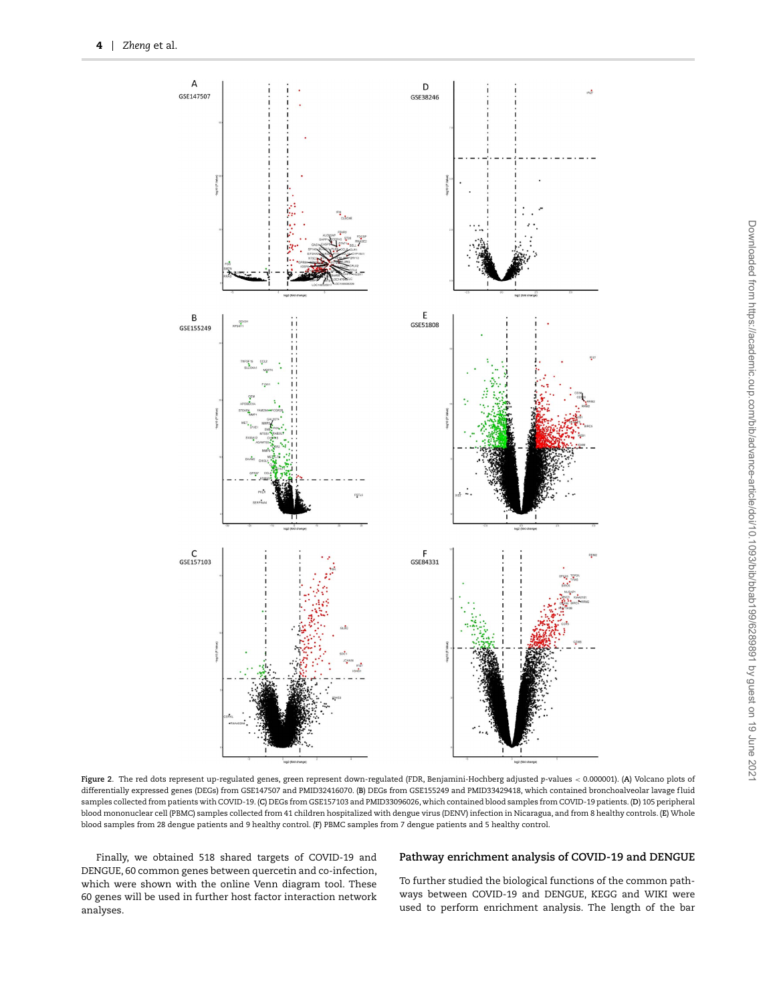

<span id="page-3-0"></span>**Figure 2**. The red dots represent up-regulated genes, green represent down-regulated (FDR, Benjamini-Hochberg adjusted *p*-values *<* 0.000001). (**A**) Volcano plots of differentially expressed genes (DEGs) from GSE147507 and PMID32416070. (**B**) DEGs from GSE155249 and PMID33429418, which contained bronchoalveolar lavage f luid samples collected from patients with COVID-19. (**C**) DEGs from GSE157103 and PMID33096026, which contained blood samples from COVID-19 patients. (**D**) 105 peripheral blood mononuclear cell (PBMC) samples collected from 41 children hospitalized with dengue virus (DENV) infection in Nicaragua, and from 8 healthy controls. (**E**) Whole blood samples from 28 dengue patients and 9 healthy control. (**F**) PBMC samples from 7 dengue patients and 5 healthy control.

Finally, we obtained 518 shared targets of COVID-19 and DENGUE, 60 common genes between quercetin and co-infection, which were shown with the online Venn diagram tool. These 60 genes will be used in further host factor interaction network analyses.

#### **Pathway enrichment analysis of COVID-19 and DENGUE**

To further studied the biological functions of the common pathways between COVID-19 and DENGUE, KEGG and WIKI were used to perform enrichment analysis. The length of the bar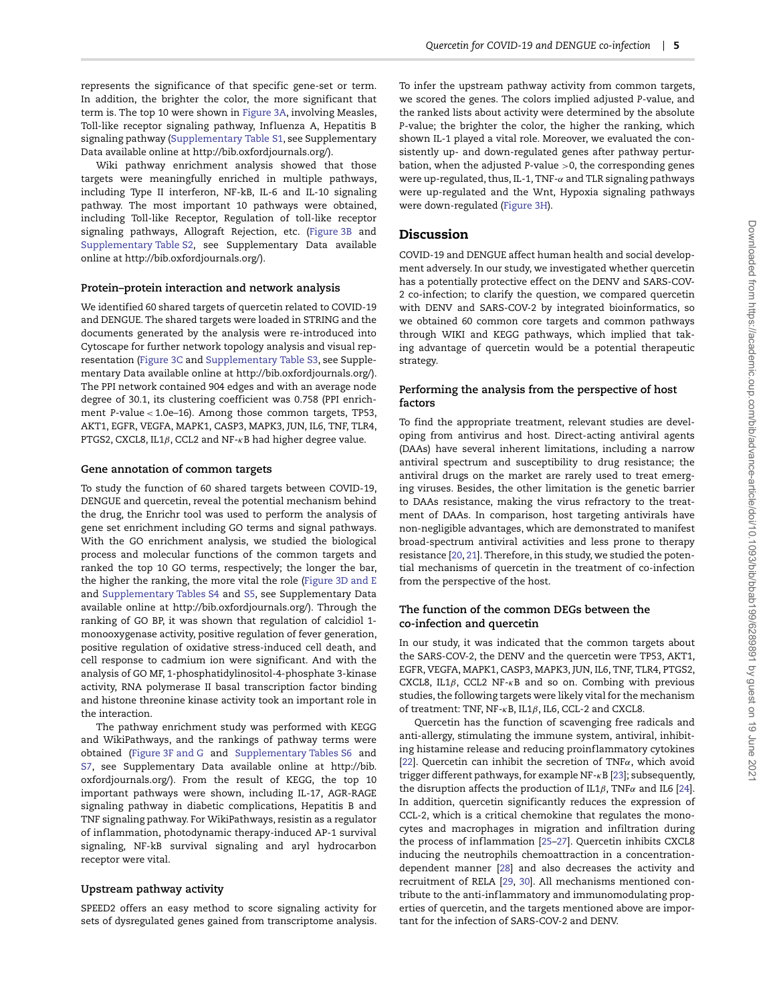Wiki pathway enrichment analysis showed that those targets were meaningfully enriched in multiple pathways, including Type II interferon, NF-kB, IL-6 and IL-10 signaling pathway. The most important 10 pathways were obtained, including Toll-like Receptor, Regulation of toll-like receptor signaling pathways, Allograft Rejection, etc. [\(Figure 3B](#page-5-0) and Supplementary Table S2, see Supplementary Data available online at http://bib.oxfordjournals.org/).

#### **Protein–protein interaction and network analysis**

We identified 60 shared targets of quercetin related to COVID-19 and DENGUE. The shared targets were loaded in STRING and the documents generated by the analysis were re-introduced into Cytoscape for further network topology analysis and visual representation [\(Figure 3C](#page-5-0) and Supplementary Table S3, see Supplementary Data available online at http://bib.oxfordjournals.org/). The PPI network contained 904 edges and with an average node degree of 30.1, its clustering coefficient was 0.758 (PPI enrichment *P*-value *<* 1.0e–16). Among those common targets, TP53, AKT1, EGFR, VEGFA, MAPK1, CASP3, MAPK3, JUN, IL6, TNF, TLR4, PTGS2, CXCL8, IL1*β*, CCL2 and NF-*κ*B had higher degree value.

#### **Gene annotation of common targets**

To study the function of 60 shared targets between COVID-19, DENGUE and quercetin, reveal the potential mechanism behind the drug, the Enrichr tool was used to perform the analysis of gene set enrichment including GO terms and signal pathways. With the GO enrichment analysis, we studied the biological process and molecular functions of the common targets and ranked the top 10 GO terms, respectively; the longer the bar, the higher the ranking, the more vital the role [\(Figure 3D and E](#page-5-0) and Supplementary Tables S4 and S5, see Supplementary Data available online at http://bib.oxfordjournals.org/). Through the ranking of GO BP, it was shown that regulation of calcidiol 1 monooxygenase activity, positive regulation of fever generation, positive regulation of oxidative stress-induced cell death, and cell response to cadmium ion were significant. And with the analysis of GO MF, 1-phosphatidylinositol-4-phosphate 3-kinase activity, RNA polymerase II basal transcription factor binding and histone threonine kinase activity took an important role in the interaction.

The pathway enrichment study was performed with KEGG and WikiPathways, and the rankings of pathway terms were obtained [\(Figure 3F and G](#page-5-0) and Supplementary Tables S6 and S7, see Supplementary Data available online at http://bib. oxfordjournals.org/). From the result of KEGG, the top 10 important pathways were shown, including IL-17, AGR-RAGE signaling pathway in diabetic complications, Hepatitis B and TNF signaling pathway. For WikiPathways, resistin as a regulator of inflammation, photodynamic therapy-induced AP-1 survival signaling, NF-kB survival signaling and aryl hydrocarbon receptor were vital.

#### **Upstream pathway activity**

SPEED2 offers an easy method to score signaling activity for sets of dysregulated genes gained from transcriptome analysis. To infer the upstream pathway activity from common targets, we scored the genes. The colors implied adjusted *P*-value, and the ranked lists about activity were determined by the absolute *P*-value; the brighter the color, the higher the ranking, which shown IL-1 played a vital role. Moreover, we evaluated the consistently up- and down-regulated genes after pathway perturbation, when the adjusted *P*-value *>*0, the corresponding genes were up-regulated, thus, IL-1, TNF-*α* and TLR signaling pathways were up-regulated and the Wnt, Hypoxia signaling pathways were down-regulated [\(Figure 3H\)](#page-5-0).

#### **Discussion**

COVID-19 and DENGUE affect human health and social development adversely. In our study, we investigated whether quercetin has a potentially protective effect on the DENV and SARS-COV-2 co-infection; to clarify the question, we compared quercetin with DENV and SARS-COV-2 by integrated bioinformatics, so we obtained 60 common core targets and common pathways through WIKI and KEGG pathways, which implied that taking advantage of quercetin would be a potential therapeutic strategy.

#### **Performing the analysis from the perspective of host factors**

To find the appropriate treatment, relevant studies are developing from antivirus and host. Direct-acting antiviral agents (DAAs) have several inherent limitations, including a narrow antiviral spectrum and susceptibility to drug resistance; the antiviral drugs on the market are rarely used to treat emerging viruses. Besides, the other limitation is the genetic barrier to DAAs resistance, making the virus refractory to the treatment of DAAs. In comparison, host targeting antivirals have non-negligible advantages, which are demonstrated to manifest broad-spectrum antiviral activities and less prone to therapy resistance [\[20,](#page-8-14) [21\]](#page-8-15). Therefore, in this study, we studied the potential mechanisms of quercetin in the treatment of co-infection from the perspective of the host.

#### **The function of the common DEGs between the co-infection and quercetin**

In our study, it was indicated that the common targets about the SARS-COV-2, the DENV and the quercetin were TP53, AKT1, EGFR, VEGFA, MAPK1, CASP3, MAPK3, JUN, IL6, TNF, TLR4, PTGS2, CXCL8, IL1*β*, CCL2 NF-*κ*B and so on. Combing with previous studies, the following targets were likely vital for the mechanism of treatment: TNF, NF-*κ*B, IL1*β*, IL6, CCL-2 and CXCL8.

Quercetin has the function of scavenging free radicals and anti-allergy, stimulating the immune system, antiviral, inhibiting histamine release and reducing proinflammatory cytokines [\[22\]](#page-8-16). Quercetin can inhibit the secretion of TNF*α*, which avoid trigger different pathways, for example NF-*κ*B [\[23\]](#page-8-17); subsequently, the disruption affects the production of IL1*β*, TNF*α* and IL6 [\[24\]](#page-8-18). In addition, quercetin significantly reduces the expression of CCL-2, which is a critical chemokine that regulates the monocytes and macrophages in migration and infiltration during the process of inflammation [\[25](#page-8-19)-27]. Quercetin inhibits CXCL8 inducing the neutrophils chemoattraction in a concentrationdependent manner [\[28\]](#page-8-21) and also decreases the activity and recruitment of RELA [\[29,](#page-8-22) [30\]](#page-8-23). All mechanisms mentioned contribute to the anti-inflammatory and immunomodulating properties of quercetin, and the targets mentioned above are important for the infection of SARS-COV-2 and DENV.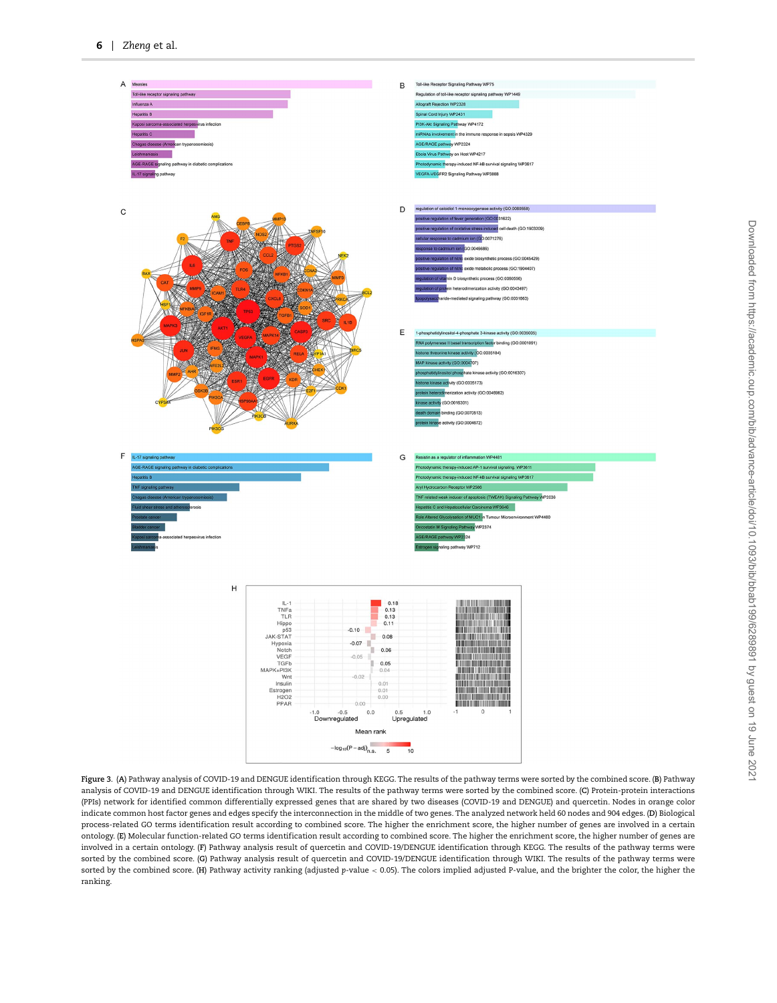

<span id="page-5-0"></span>**Figure 3**. (**A**) Pathway analysis of COVID-19 and DENGUE identification through KEGG. The results of the pathway terms were sorted by the combined score. (**B**) Pathway analysis of COVID-19 and DENGUE identification through WIKI. The results of the pathway terms were sorted by the combined score. (**C**) Protein-protein interactions (PPIs) network for identified common differentially expressed genes that are shared by two diseases (COVID-19 and DENGUE) and quercetin. Nodes in orange color indicate common host factor genes and edges specify the interconnection in the middle of two genes. The analyzed network held 60 nodes and 904 edges. (**D**) Biological process-related GO terms identification result according to combined score. The higher the enrichment score, the higher number of genes are involved in a certain ontology. (**E**) Molecular function-related GO terms identification result according to combined score. The higher the enrichment score, the higher number of genes are involved in a certain ontology. (**F**) Pathway analysis result of quercetin and COVID-19/DENGUE identification through KEGG. The results of the pathway terms were sorted by the combined score. (**G**) Pathway analysis result of quercetin and COVID-19/DENGUE identification through WIKI. The results of the pathway terms were sorted by the combined score. (**H**) Pathway activity ranking (adjusted *p*-value *<* 0.05). The colors implied adjusted P-value, and the brighter the color, the higher the ranking.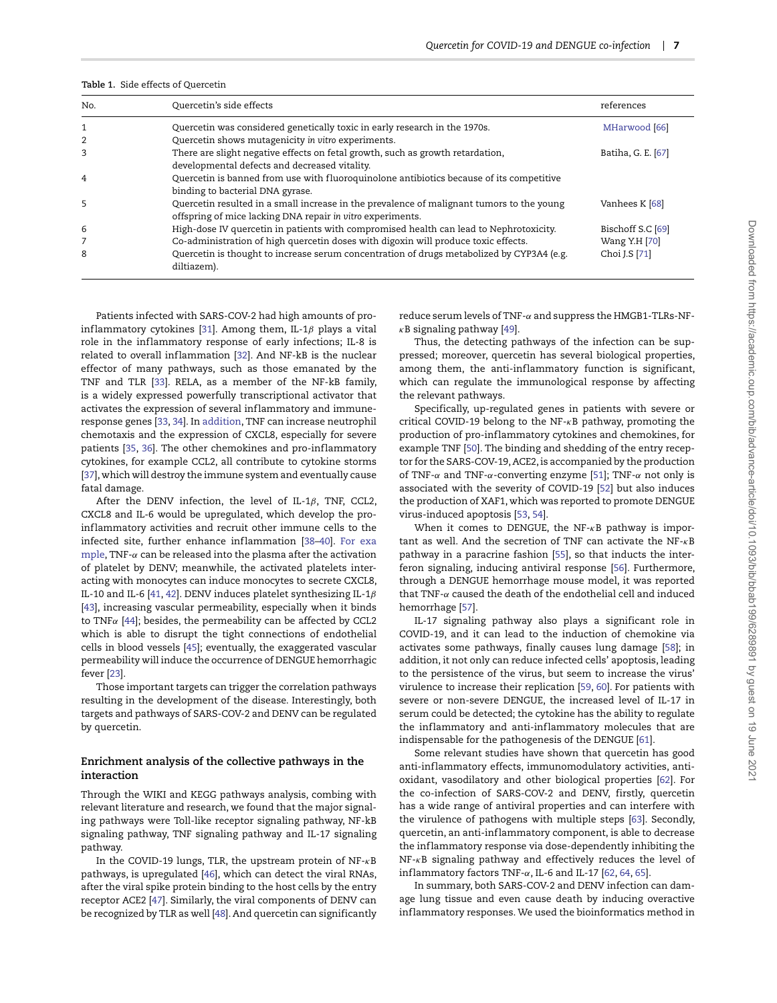<span id="page-6-0"></span>

|  |  |  |  | Table 1. Side effects of Quercetin |
|--|--|--|--|------------------------------------|
|--|--|--|--|------------------------------------|

| No. | Quercetin's side effects                                                                                                                                | references         |
|-----|---------------------------------------------------------------------------------------------------------------------------------------------------------|--------------------|
| 1   | Quercetin was considered genetically toxic in early research in the 1970s.                                                                              | MHarwood [66]      |
| 2   | Quercetin shows mutagenicity in vitro experiments.                                                                                                      |                    |
| 3   | There are slight negative effects on fetal growth, such as growth retardation,<br>developmental defects and decreased vitality.                         | Batiha, G. E. [67] |
| 4   | Quercetin is banned from use with fluoroquinolone antibiotics because of its competitive<br>binding to bacterial DNA gyrase.                            |                    |
| 5   | Quercetin resulted in a small increase in the prevalence of malignant tumors to the young<br>offspring of mice lacking DNA repair in vitro experiments. | Vanhees K [68]     |
| 6   | High-dose IV quercetin in patients with compromised health can lead to Nephrotoxicity.                                                                  | Bischoff S.C [69]  |
| 7   | Co-administration of high quercetin doses with digoxin will produce toxic effects.                                                                      | Wang Y.H [70]      |
| 8   | Quercetin is thought to increase serum concentration of drugs metabolized by CYP3A4 (e.g.<br>diltiazem).                                                | Choi J.S [71]      |

Patients infected with SARS-COV-2 had high amounts of pro-inflammatory cytokines [\[31\]](#page-8-24). Among them, IL-1β plays a vital role in the inflammatory response of early infections; IL-8 is related to overall inflammation [\[32\]](#page-8-25). And NF-kB is the nuclear effector of many pathways, such as those emanated by the TNF and TLR [\[33\]](#page-8-26). RELA, as a member of the NF-kB family, is a widely expressed powerfully transcriptional activator that activates the expression of several inflammatory and immuneresponse genes [\[33,](#page-8-26) [34\]](#page-8-27). In [addition,](addition) TNF can increase neutrophil chemotaxis and the expression of CXCL8, especially for severe patients [\[35,](#page-8-28) [36\]](#page-8-29). The other chemokines and pro-inflammatory cytokines, for example CCL2, all contribute to cytokine storms [\[37\]](#page-8-30), which will destroy the immune system and eventually cause fatal damage.

After the DENV infection, the level of IL-1*β*, TNF, CCL2, CXCL8 and IL-6 would be upregulated, which develop the proinflammatory activities and recruit other immune cells to the infected site, further enhance inflammation [\[38](#page-8-31)-40]. <For> [exa](example) [mple,](example) TNF-*α* can be released into the plasma after the activation of platelet by DENV; meanwhile, the activated platelets interacting with monocytes can induce monocytes to secrete CXCL8, IL-10 and IL-6 [\[41,](#page-8-33) [42\]](#page-8-34). DENV induces platelet synthesizing IL-1*β* [\[43\]](#page-8-35), increasing vascular permeability, especially when it binds to TNF*α* [\[44\]](#page-8-36); besides, the permeability can be affected by CCL2 which is able to disrupt the tight connections of endothelial cells in blood vessels [\[45\]](#page-9-6); eventually, the exaggerated vascular permeability will induce the occurrence of DENGUE hemorrhagic fever [\[23\]](#page-8-17).

Those important targets can trigger the correlation pathways resulting in the development of the disease. Interestingly, both targets and pathways of SARS-COV-2 and DENV can be regulated by quercetin.

#### **Enrichment analysis of the collective pathways in the interaction**

Through the WIKI and KEGG pathways analysis, combing with relevant literature and research, we found that the major signaling pathways were Toll-like receptor signaling pathway, NF-kB signaling pathway, TNF signaling pathway and IL-17 signaling pathway.

In the COVID-19 lungs, TLR, the upstream protein of NF-*κ*B pathways, is upregulated [\[46\]](#page-9-7), which can detect the viral RNAs, after the viral spike protein binding to the host cells by the entry receptor ACE2 [\[47\]](#page-9-8). Similarly, the viral components of DENV can be recognized by TLR as well [\[48\]](#page-9-9). And quercetin can significantly reduce serum levels of TNF-*α* and suppress the HMGB1-TLRs-NF*κ*B signaling pathway [\[49\]](#page-9-10).

Thus, the detecting pathways of the infection can be suppressed; moreover, quercetin has several biological properties, among them, the anti-inflammatory function is significant, which can regulate the immunological response by affecting the relevant pathways.

Specifically, up-regulated genes in patients with severe or critical COVID-19 belong to the NF-*κ*B pathway, promoting the production of pro-inflammatory cytokines and chemokines, for example TNF [\[50\]](#page-9-11). The binding and shedding of the entry receptor for the SARS-COV-19, ACE2, is accompanied by the production of TNF-*α* and TNF-*α*-converting enzyme [\[51\]](#page-9-12); TNF-*α* not only is associated with the severity of COVID-19 [\[52\]](#page-9-13) but also induces the production of XAF1, which was reported to promote DENGUE virus-induced apoptosis [\[53,](#page-9-14) [54\]](#page-9-15).

When it comes to DENGUE, the NF-*κ*B pathway is important as well. And the secretion of TNF can activate the NF-*κ*B pathway in a paracrine fashion [\[55\]](#page-9-16), so that inducts the interferon signaling, inducing antiviral response [\[56\]](#page-9-17). Furthermore, through a DENGUE hemorrhage mouse model, it was reported that TNF-*α* caused the death of the endothelial cell and induced hemorrhage [\[57\]](#page-9-18).

IL-17 signaling pathway also plays a significant role in COVID-19, and it can lead to the induction of chemokine via activates some pathways, finally causes lung damage [\[58\]](#page-9-19); in addition, it not only can reduce infected cells' apoptosis, leading to the persistence of the virus, but seem to increase the virus' virulence to increase their replication [\[59,](#page-9-20) [60\]](#page-9-21). For patients with severe or non-severe DENGUE, the increased level of IL-17 in serum could be detected; the cytokine has the ability to regulate the inflammatory and anti-inflammatory molecules that are indispensable for the pathogenesis of the DENGUE [\[61\]](#page-9-22).

Some relevant studies have shown that quercetin has good anti-inflammatory effects, immunomodulatory activities, antioxidant, vasodilatory and other biological properties [\[62\]](#page-9-23). For the co-infection of SARS-COV-2 and DENV, firstly, quercetin has a wide range of antiviral properties and can interfere with the virulence of pathogens with multiple steps [\[63\]](#page-9-24). Secondly, quercetin, an anti-inf lammatory component, is able to decrease the inflammatory response via dose-dependently inhibiting the NF-*κ*B signaling pathway and effectively reduces the level of inf lammatory factors TNF-*α*, IL-6 and IL-17 [\[62,](#page-9-23) [64,](#page-9-25) [65\]](#page-9-26).

In summary, both SARS-COV-2 and DENV infection can damage lung tissue and even cause death by inducing overactive inf lammatory responses. We used the bioinformatics method in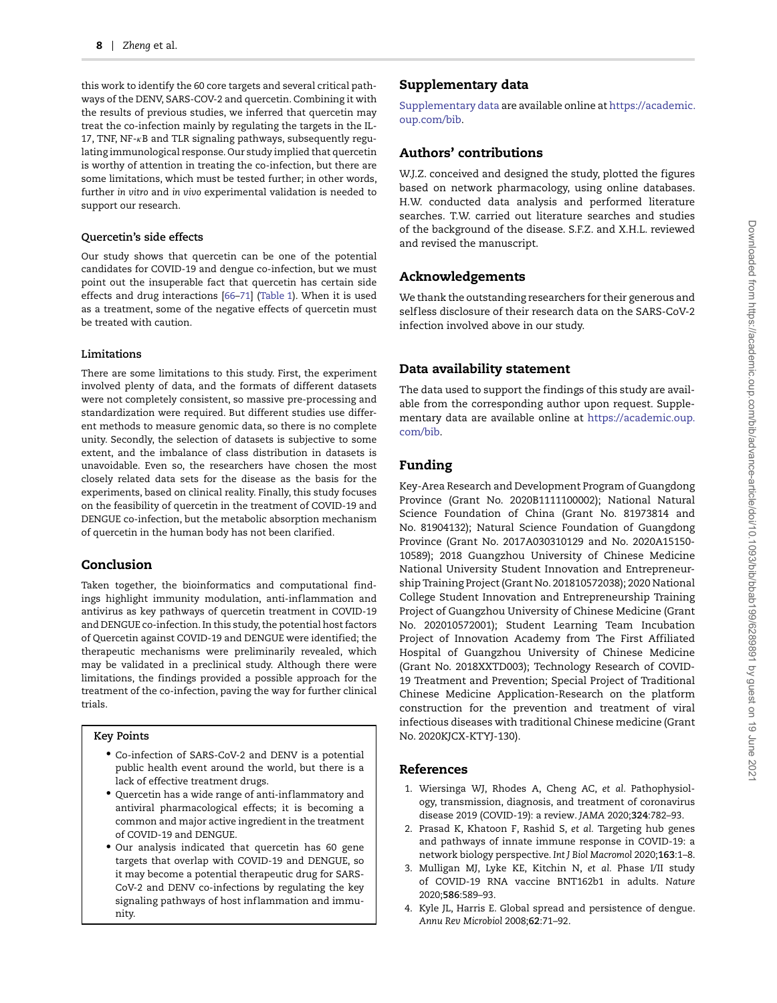this work to identify the 60 core targets and several critical pathways of the DENV, SARS-COV-2 and quercetin. Combining it with the results of previous studies, we inferred that quercetin may treat the co-infection mainly by regulating the targets in the IL-17, TNF, NF-*κ*B and TLR signaling pathways, subsequently regulating immunological response. Our study implied that quercetin is worthy of attention in treating the co-infection, but there are some limitations, which must be tested further; in other words, further *in vitro* and *in vivo* experimental validation is needed to support our research.

#### **Quercetin's side effects**

Our study shows that quercetin can be one of the potential candidates for COVID-19 and dengue co-infection, but we must point out the insuperable fact that quercetin has certain side effects and drug interactions [\[66–](#page-9-0)[71\]](#page-9-5) [\(Table 1\)](#page-6-0). When it is used as a treatment, some of the negative effects of quercetin must be treated with caution.

#### **Limitations**

There are some limitations to this study. First, the experiment involved plenty of data, and the formats of different datasets were not completely consistent, so massive pre-processing and standardization were required. But different studies use different methods to measure genomic data, so there is no complete unity. Secondly, the selection of datasets is subjective to some extent, and the imbalance of class distribution in datasets is unavoidable. Even so, the researchers have chosen the most closely related data sets for the disease as the basis for the experiments, based on clinical reality. Finally, this study focuses on the feasibility of quercetin in the treatment of COVID-19 and DENGUE co-infection, but the metabolic absorption mechanism of quercetin in the human body has not been clarified.

## **Conclusion**

Taken together, the bioinformatics and computational findings highlight immunity modulation, anti-inflammation and antivirus as key pathways of quercetin treatment in COVID-19 and DENGUE co-infection. In this study, the potential host factors of Quercetin against COVID-19 and DENGUE were identified; the therapeutic mechanisms were preliminarily revealed, which may be validated in a preclinical study. Although there were limitations, the findings provided a possible approach for the treatment of the co-infection, paving the way for further clinical trials.

#### **Key Points**

- Co-infection of SARS-CoV-2 and DENV is a potential public health event around the world, but there is a lack of effective treatment drugs.
- Quercetin has a wide range of anti-inf lammatory and antiviral pharmacological effects; it is becoming a common and major active ingredient in the treatment of COVID-19 and DENGUE.
- Our analysis indicated that quercetin has 60 gene targets that overlap with COVID-19 and DENGUE, so it may become a potential therapeutic drug for SARS-CoV-2 and DENV co-infections by regulating the key signaling pathways of host inflammation and immunity.

## **Supplementary data**

[Supplementary data](https://academic.oup.com/bib/article-lookup/doi/10.1093/bib/bbab199#supplementary-data) [are available online at](https://academic.oup.com/bib) https://academic. oup.com/bib.

## **Authors' contributions**

W.J.Z. conceived and designed the study, plotted the figures based on network pharmacology, using online databases. H.W. conducted data analysis and performed literature searches. T.W. carried out literature searches and studies of the background of the disease. S.F.Z. and X.H.L. reviewed and revised the manuscript.

## **Acknowledgements**

We thank the outstanding researchers for their generous and selfless disclosure of their research data on the SARS-CoV-2 infection involved above in our study.

## **Data availability statement**

The data used to support the findings of this study are available from the corresponding author upon request. Supple[mentary data are available online at](https://academic.oup.com/bib) https://academic.oup. com/bib.

## **Funding**

Key-Area Research and Development Program of Guangdong Province (Grant No. 2020B1111100002); National Natural Science Foundation of China (Grant No. 81973814 and No. 81904132); Natural Science Foundation of Guangdong Province (Grant No. 2017A030310129 and No. 2020A15150- 10589); 2018 Guangzhou University of Chinese Medicine National University Student Innovation and Entrepreneurship Training Project (Grant No. 201810572038); 2020 National College Student Innovation and Entrepreneurship Training Project of Guangzhou University of Chinese Medicine (Grant No. 202010572001); Student Learning Team Incubation Project of Innovation Academy from The First Affiliated Hospital of Guangzhou University of Chinese Medicine (Grant No. 2018XXTD003); Technology Research of COVID-19 Treatment and Prevention; Special Project of Traditional Chinese Medicine Application-Research on the platform construction for the prevention and treatment of viral infectious diseases with traditional Chinese medicine (Grant No. 2020KJCX-KTYJ-130).

### **References**

- <span id="page-7-0"></span>1. Wiersinga WJ, Rhodes A, Cheng AC, *et al.* Pathophysiology, transmission, diagnosis, and treatment of coronavirus disease 2019 (COVID-19): a review. *JAMA* 2020;**324**:782–93.
- <span id="page-7-1"></span>2. Prasad K, Khatoon F, Rashid S, *et al.* Targeting hub genes and pathways of innate immune response in COVID-19: a network biology perspective. *Int J Biol Macromol* 2020;**163**:1–8.
- <span id="page-7-2"></span>3. Mulligan MJ, Lyke KE, Kitchin N, *et al.* Phase I/II study of COVID-19 RNA vaccine BNT162b1 in adults. *Nature* 2020;**586**:589–93.
- <span id="page-7-3"></span>4. Kyle JL, Harris E. Global spread and persistence of dengue. *Annu Rev Microbiol* 2008;**62**:71–92.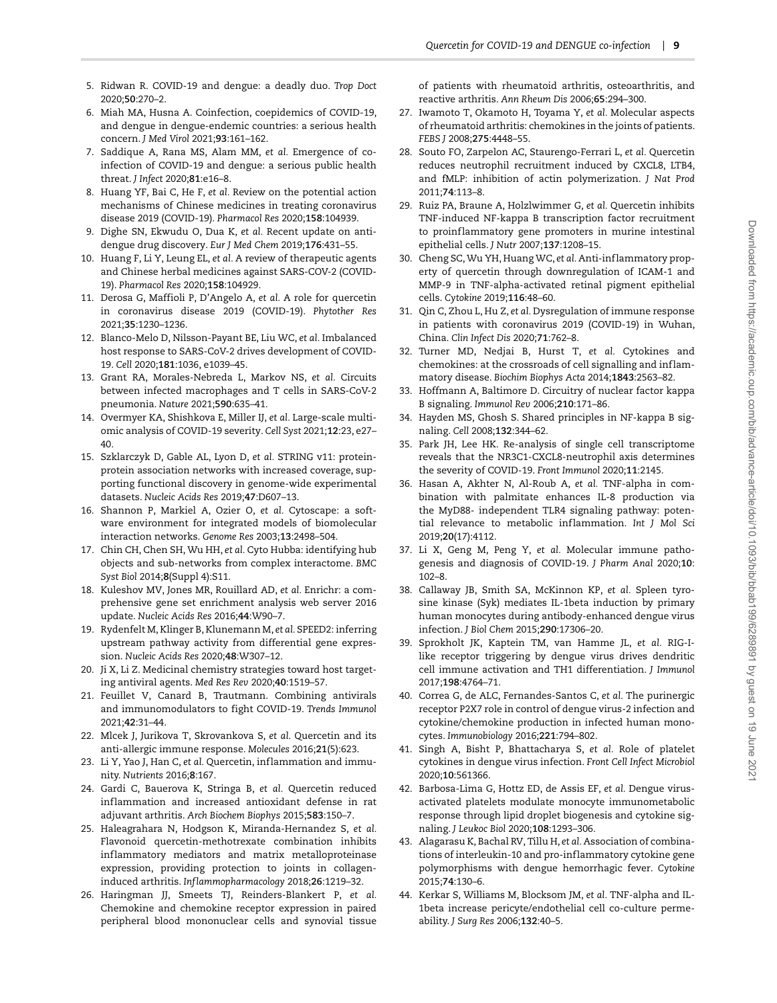- <span id="page-8-0"></span>5. Ridwan R. COVID-19 and dengue: a deadly duo. *Trop Doct* 2020;**50**:270–2.
- <span id="page-8-1"></span>6. Miah MA, Husna A. Coinfection, coepidemics of COVID-19, and dengue in dengue-endemic countries: a serious health concern. *J Med Virol* 2021;**93**:161–162.
- <span id="page-8-2"></span>7. Saddique A, Rana MS, Alam MM, *et al.* Emergence of coinfection of COVID-19 and dengue: a serious public health threat. *J Infect* 2020;**81**:e16–8.
- <span id="page-8-3"></span>8. Huang YF, Bai C, He F, *et al.* Review on the potential action mechanisms of Chinese medicines in treating coronavirus disease 2019 (COVID-19). *Pharmacol Res* 2020;**158**:104939.
- 9. Dighe SN, Ekwudu O, Dua K, *et al.* Recent update on antidengue drug discovery. *Eur J Med Chem* 2019;**176**:431–55.
- <span id="page-8-4"></span>10. Huang F, Li Y, Leung EL, *et al.* A review of therapeutic agents and Chinese herbal medicines against SARS-COV-2 (COVID-19). *Pharmacol Res* 2020;**158**:104929.
- <span id="page-8-5"></span>11. Derosa G, Maffioli P, D'Angelo A, *et al.* A role for quercetin in coronavirus disease 2019 (COVID-19). *Phytother Res* 2021;**35**:1230–1236.
- <span id="page-8-6"></span>12. Blanco-Melo D, Nilsson-Payant BE, Liu WC, *et al.* Imbalanced host response to SARS-CoV-2 drives development of COVID-19. *Cell* 2020;**181**:1036, e1039–45.
- <span id="page-8-7"></span>13. Grant RA, Morales-Nebreda L, Markov NS, *et al.* Circuits between infected macrophages and T cells in SARS-CoV-2 pneumonia. *Nature* 2021;**590**:635–41.
- <span id="page-8-8"></span>14. Overmyer KA, Shishkova E, Miller IJ, *et al.* Large-scale multiomic analysis of COVID-19 severity. *Cell Syst* 2021;**12**:23, e27– 40.
- <span id="page-8-9"></span>15. Szklarczyk D, Gable AL, Lyon D, *et al.* STRING v11: proteinprotein association networks with increased coverage, supporting functional discovery in genome-wide experimental datasets. *Nucleic Acids Res* 2019;**47**:D607–13.
- <span id="page-8-10"></span>16. Shannon P, Markiel A, Ozier O, *et al.* Cytoscape: a software environment for integrated models of biomolecular interaction networks. *Genome Res* 2003;**13**:2498–504.
- <span id="page-8-11"></span>17. Chin CH, Chen SH, Wu HH, *et al.* Cyto Hubba: identifying hub objects and sub-networks from complex interactome. *BMC Syst Biol* 2014;**8**(Suppl 4):S11.
- <span id="page-8-12"></span>18. Kuleshov MV, Jones MR, Rouillard AD, *et al.* Enrichr: a comprehensive gene set enrichment analysis web server 2016 update. *Nucleic Acids Res* 2016;**44**:W90–7.
- <span id="page-8-13"></span>19. Rydenfelt M, Klinger B, Klunemann M, *et al.* SPEED2: inferring upstream pathway activity from differential gene expression. *Nucleic Acids Res* 2020;**48**:W307–12.
- <span id="page-8-14"></span>20. Ji X, Li Z. Medicinal chemistry strategies toward host targeting antiviral agents. *Med Res Rev* 2020;**40**:1519–57.
- <span id="page-8-15"></span>21. Feuillet V, Canard B, Trautmann. Combining antivirals and immunomodulators to fight COVID-19. *Trends Immunol* 2021;**42**:31–44.
- <span id="page-8-16"></span>22. Mlcek J, Jurikova T, Skrovankova S, *et al.* Quercetin and its anti-allergic immune response. *Molecules* 2016;**21**(5):623.
- <span id="page-8-17"></span>23. Li Y, Yao J, Han C, *et al.* Quercetin, inf lammation and immunity. *Nutrients* 2016;**8**:167.
- <span id="page-8-18"></span>24. Gardi C, Bauerova K, Stringa B, *et al.* Quercetin reduced inf lammation and increased antioxidant defense in rat adjuvant arthritis. *Arch Biochem Biophys* 2015;**583**:150–7.
- <span id="page-8-19"></span>25. Haleagrahara N, Hodgson K, Miranda-Hernandez S, *et al.* Flavonoid quercetin-methotrexate combination inhibits inflammatory mediators and matrix metalloproteinase expression, providing protection to joints in collageninduced arthritis. *Inflammopharmacology* 2018;**26**:1219–32.
- 26. Haringman JJ, Smeets TJ, Reinders-Blankert P, *et al.* Chemokine and chemokine receptor expression in paired peripheral blood mononuclear cells and synovial tissue

of patients with rheumatoid arthritis, osteoarthritis, and reactive arthritis. *Ann Rheum Dis* 2006;**65**:294–300.

- <span id="page-8-20"></span>27. Iwamoto T, Okamoto H, Toyama Y, *et al.* Molecular aspects of rheumatoid arthritis: chemokines in the joints of patients. *FEBS J* 2008;**275**:4448–55.
- <span id="page-8-21"></span>28. Souto FO, Zarpelon AC, Staurengo-Ferrari L, *et al.* Quercetin reduces neutrophil recruitment induced by CXCL8, LTB4, and fMLP: inhibition of actin polymerization. *J Nat Prod* 2011;**74**:113–8.
- <span id="page-8-22"></span>29. Ruiz PA, Braune A, Holzlwimmer G, *et al.* Quercetin inhibits TNF-induced NF-kappa B transcription factor recruitment to proinflammatory gene promoters in murine intestinal epithelial cells. *J Nutr* 2007;**137**:1208–15.
- <span id="page-8-23"></span>30. Cheng SC,Wu YH, Huang WC, *et al.* Anti-inf lammatory property of quercetin through downregulation of ICAM-1 and MMP-9 in TNF-alpha-activated retinal pigment epithelial cells. *Cytokine* 2019;**116**:48–60.
- <span id="page-8-24"></span>31. Qin C, Zhou L, Hu Z, *et al.* Dysregulation of immune response in patients with coronavirus 2019 (COVID-19) in Wuhan, China. *Clin Infect Dis* 2020;**71**:762–8.
- <span id="page-8-25"></span>32. Turner MD, Nedjai B, Hurst T, *et al.* Cytokines and chemokines: at the crossroads of cell signalling and inflammatory disease. *Biochim Biophys Acta* 2014;**1843**:2563–82.
- <span id="page-8-26"></span>33. Hoffmann A, Baltimore D. Circuitry of nuclear factor kappa B signaling. *Immunol Rev* 2006;**210**:171–86.
- <span id="page-8-27"></span>34. Hayden MS, Ghosh S. Shared principles in NF-kappa B signaling. *Cell* 2008;**132**:344–62.
- <span id="page-8-28"></span>35. Park JH, Lee HK. Re-analysis of single cell transcriptome reveals that the NR3C1-CXCL8-neutrophil axis determines the severity of COVID-19. *Front Immunol* 2020;**11**:2145.
- <span id="page-8-29"></span>36. Hasan A, Akhter N, Al-Roub A, *et al.* TNF-alpha in combination with palmitate enhances IL-8 production via the MyD88- independent TLR4 signaling pathway: potential relevance to metabolic inf lammation. *Int J Mol Sci* 2019;**20**(17):4112.
- <span id="page-8-30"></span>37. Li X, Geng M, Peng Y, *et al.* Molecular immune pathogenesis and diagnosis of COVID-19. *J Pharm Anal* 2020;**10**: 102–8.
- <span id="page-8-31"></span>38. Callaway JB, Smith SA, McKinnon KP, *et al.* Spleen tyrosine kinase (Syk) mediates IL-1beta induction by primary human monocytes during antibody-enhanced dengue virus infection. *J Biol Chem* 2015;**290**:17306–20.
- 39. Sprokholt JK, Kaptein TM, van Hamme JL, *et al.* RIG-Ilike receptor triggering by dengue virus drives dendritic cell immune activation and TH1 differentiation. *J Immunol* 2017;**198**:4764–71.
- <span id="page-8-32"></span>40. Correa G, de ALC, Fernandes-Santos C, *et al.* The purinergic receptor P2X7 role in control of dengue virus-2 infection and cytokine/chemokine production in infected human monocytes. *Immunobiology* 2016;**221**:794–802.
- <span id="page-8-33"></span>41. Singh A, Bisht P, Bhattacharya S, *et al.* Role of platelet cytokines in dengue virus infection. *Front Cell Infect Microbiol* 2020;**10**:561366.
- <span id="page-8-34"></span>42. Barbosa-Lima G, Hottz ED, de Assis EF, *et al.* Dengue virusactivated platelets modulate monocyte immunometabolic response through lipid droplet biogenesis and cytokine signaling. *J Leukoc Biol* 2020;**108**:1293–306.
- <span id="page-8-35"></span>43. Alagarasu K, Bachal RV, Tillu H, *et al.* Association of combinations of interleukin-10 and pro-inf lammatory cytokine gene polymorphisms with dengue hemorrhagic fever. *Cytokine* 2015;**74**:130–6.
- <span id="page-8-36"></span>44. Kerkar S, Williams M, Blocksom JM, *et al.* TNF-alpha and IL-1beta increase pericyte/endothelial cell co-culture permeability. *J Surg Res* 2006;**132**:40–5.